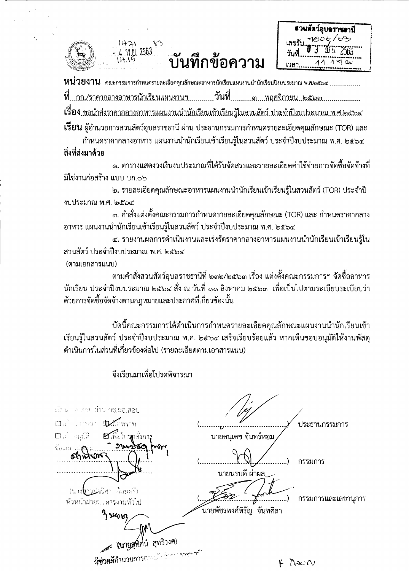

บันทึกข้อความ

 $\mathbf{b}^2$ 

 $1471$ 

พ.ย. 2563

สวนสัตว์อุบลราชฮานี <u> ৭</u>৩০৮ / เลขรับ เวลา

หน่วยงาน<sub>...คณะกรรมการกำหนดรายละเอียดคุณลักษณะอาหารนักเรียนแผนงานนำนักเรียนปีงบประมาณ พ.ศ.๒๕<del>ะ</del></sub> เรื่อง ขอนำส่งราคากลางอาหารแผนงานนำนักเรียนเข้าเรียนรู้ในสวนสัตว์ ประจำปีงบประมาณ พ.ศ.๒๕๖๔

**เรียน** ผู้อำนวยการสวนสัตว์อุบลราชธานี ผ่าน ประธานกรรมการกำหนดรายละเอียดคุณลักษณะ (TOR) และ ้กำหนดราคากลางอาหาร แผนงานนำนักเรียนเข้าเรียนรู้ในสวนสัตว์ ประจำปีงบประมาณ พ.ศ. ๒๕๖๔

## สิ่งที่ส่งมาด้วย

ึด. ตารางแสดงวงเงินงบประมาณที่ได้รับจัดสรรและรายละเอียดค่าใช้จ่ายการจัดซื้อจัดจ้างที่ มิใช่งานก่อสร้าง แบบ บก.๐๖

๒. รายละเอียดคุณลักษณะอาหารแผนงานนำนักเรียนเข้าเรียนรู้ในสวนสัตว์ (TOR) ประจำปี งบประมาณ พ.ศ. ๒๕๖๔

ี ๓. คำสั่งแต่งตั้งคณะกรรมการกำหนดรายละเอียดคุณลักษณะ (TOR) และ กำหนดราคากลาง อาหาร แผนงานนำนักเรียนเข้าเรียนรู้ในสวนสัตว์ ประจำปีงบประมาณ พ.ศ. ๒๕๖๔

๔. รายงานผลการดำเนินงานและเร่งรัดราคากลางอาหารแผนงานนำนักเรียนเข้าเรียนรู้ใน สวนสัตว์ ประจำปีงบประมาณ พ.ศ. ๒๕๖๔

(ตามเอกสารแนบ)

้ตามคำสั่งสวนสัตว์อุบลราชธานีที่ ๒๓๒/๒๕๖๓ เรื่อง แต่งตั้งคณะกรรมการฯ จัดซื้ออาหาร นักเรียน ประจำปีงบประมาณ ๒๕๖๔ สั่ง ณ วันที่ ๑๑ สิงหาคม ๒๕๖๓ เพื่อเป็นไปตามระเบียบระเบียบว่า ด้วยการจัดซื้อจัดจ้างตามกฎหมายและประกาศที่เกี่ยวข้องนั้น

บัดนี้คณะกรรมการได้ดำเนินการกำหนดรายละเอียดคุณลักษณะแผนงานนำนักเรียนเข้า เรียนรู้ในสวนสัตว์ ประจำปีงบประมาณ พ.ศ. ๒๕๖๔ เสร็จเรียบร้อยแล้ว หากเห็นชอบอนุมัติให้งานพัสดุ ดำเนินการในส่วนที่เกี่ยวข้องต่อไป (รายละเอียดตามเอกสารแนบ)

เมิ่มมา ค.ศ.ก. ม่าน มช.ผอ.**สอบ D.A. ABOUT DOWNTON** ประธานกรรมการ นายดนุเดช จันทร์หอม  $\square$  , and  $\square$ **E**เพื่อโปรคสังกา: ชื่อแงน กรรมการ นายนรบดี ผ่าผล, าวปลุวิสา ก้อนครี) . . . . . . . . . . ) กรรมการและเลขานุการ หัวหน้าฝ่ายบแห่วรงานทั่วไป <u>์</u><br>นายพัชรพงศ์หิรัญ จันทศิลา <u>່</u> ጎ ንደረ<sub>ሀ ዕ</sub>າ (บายสุทิศน์ สุทธิวงศ) ผู้ช่วยผู้อำนวยการส  $K$   $\bar{D}AC$  $\bar{D}$ 

จึงเรียนมาเพื่อโปรดพิจารณา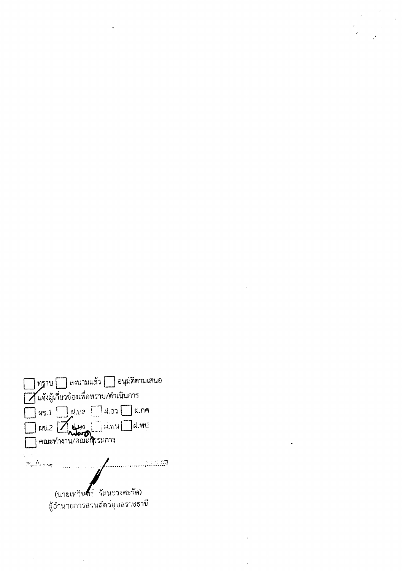

 $\bar{z}$ 

 $\mathcal{L}^{\text{max}}_{\text{max}}$  and  $\mathcal{L}^{\text{max}}_{\text{max}}$ 

 $\mathbf{1}$